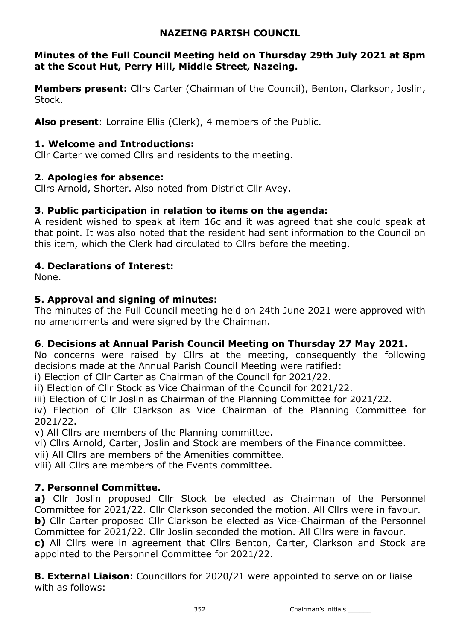# NAZEING PARISH COUNCIL

# Minutes of the Full Council Meeting held on Thursday 29th July 2021 at 8pm at the Scout Hut, Perry Hill, Middle Street, Nazeing.

**Members present:** Cllrs Carter (Chairman of the Council), Benton, Clarkson, Joslin, Stock.

Also present: Lorraine Ellis (Clerk), 4 members of the Public.

# 1. Welcome and Introductions:

Cllr Carter welcomed Cllrs and residents to the meeting.

# 2. Apologies for absence:

Cllrs Arnold, Shorter. Also noted from District Cllr Avey.

# 3. Public participation in relation to items on the agenda:

A resident wished to speak at item 16c and it was agreed that she could speak at that point. It was also noted that the resident had sent information to the Council on this item, which the Clerk had circulated to Cllrs before the meeting.

# 4. Declarations of Interest:

None.

# 5. Approval and signing of minutes:

The minutes of the Full Council meeting held on 24th June 2021 were approved with no amendments and were signed by the Chairman.

# 6. Decisions at Annual Parish Council Meeting on Thursday 27 May 2021.

No concerns were raised by Cllrs at the meeting, consequently the following decisions made at the Annual Parish Council Meeting were ratified:

i) Election of Cllr Carter as Chairman of the Council for 2021/22.

ii) Election of Cllr Stock as Vice Chairman of the Council for 2021/22.

iii) Election of Cllr Joslin as Chairman of the Planning Committee for 2021/22.

iv) Election of Cllr Clarkson as Vice Chairman of the Planning Committee for 2021/22.

v) All Cllrs are members of the Planning committee.

vi) Cllrs Arnold, Carter, Joslin and Stock are members of the Finance committee.

vii) All Cllrs are members of the Amenities committee.

viii) All Cllrs are members of the Events committee.

# 7. Personnel Committee.

a) Cllr Joslin proposed Cllr Stock be elected as Chairman of the Personnel Committee for 2021/22. Cllr Clarkson seconded the motion. All Cllrs were in favour. b) Cllr Carter proposed Cllr Clarkson be elected as Vice-Chairman of the Personnel Committee for 2021/22. Cllr Joslin seconded the motion. All Cllrs were in favour. c) All Cllrs were in agreement that Cllrs Benton, Carter, Clarkson and Stock are appointed to the Personnel Committee for 2021/22.

**8. External Liaison:** Councillors for 2020/21 were appointed to serve on or liaise with as follows:

352 Chairman's initials \_\_\_\_\_\_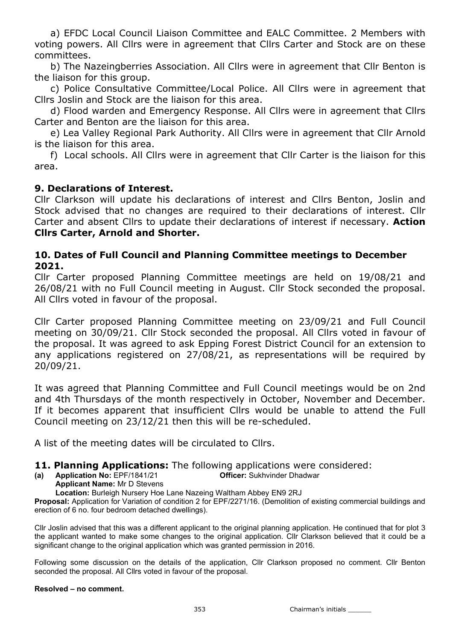a) EFDC Local Council Liaison Committee and EALC Committee. 2 Members with voting powers. All Cllrs were in agreement that Cllrs Carter and Stock are on these committees.

 b) The Nazeingberries Association. All Cllrs were in agreement that Cllr Benton is the liaison for this group.

 c) Police Consultative Committee/Local Police. All Cllrs were in agreement that Cllrs Joslin and Stock are the liaison for this area.

 d) Flood warden and Emergency Response. All Cllrs were in agreement that Cllrs Carter and Benton are the liaison for this area.

 e) Lea Valley Regional Park Authority. All Cllrs were in agreement that Cllr Arnold is the liaison for this area.

 f) Local schools. All Cllrs were in agreement that Cllr Carter is the liaison for this area.

## 9. Declarations of Interest.

Cllr Clarkson will update his declarations of interest and Cllrs Benton, Joslin and Stock advised that no changes are required to their declarations of interest. Cllr Carter and absent Cllrs to update their declarations of interest if necessary. Action Cllrs Carter, Arnold and Shorter.

## 10. Dates of Full Council and Planning Committee meetings to December 2021.

Cllr Carter proposed Planning Committee meetings are held on 19/08/21 and 26/08/21 with no Full Council meeting in August. Cllr Stock seconded the proposal. All Cllrs voted in favour of the proposal.

Cllr Carter proposed Planning Committee meeting on 23/09/21 and Full Council meeting on 30/09/21. Cllr Stock seconded the proposal. All Cllrs voted in favour of the proposal. It was agreed to ask Epping Forest District Council for an extension to any applications registered on 27/08/21, as representations will be required by 20/09/21.

It was agreed that Planning Committee and Full Council meetings would be on 2nd and 4th Thursdays of the month respectively in October, November and December. If it becomes apparent that insufficient Cllrs would be unable to attend the Full Council meeting on 23/12/21 then this will be re-scheduled.

A list of the meeting dates will be circulated to Cllrs.

## 11. Planning Applications: The following applications were considered:

(a) Application No: EPF/1841/21 Officer: Sukhvinder Dhadwar

Applicant Name: Mr D Stevens

Location: Burleigh Nursery Hoe Lane Nazeing Waltham Abbey EN9 2RJ

Proposal: Application for Variation of condition 2 for EPF/2271/16. (Demolition of existing commercial buildings and erection of 6 no. four bedroom detached dwellings).

Cllr Joslin advised that this was a different applicant to the original planning application. He continued that for plot 3 the applicant wanted to make some changes to the original application. Cllr Clarkson believed that it could be a significant change to the original application which was granted permission in 2016.

Following some discussion on the details of the application, Cllr Clarkson proposed no comment. Cllr Benton seconded the proposal. All Cllrs voted in favour of the proposal.

### Resolved – no comment.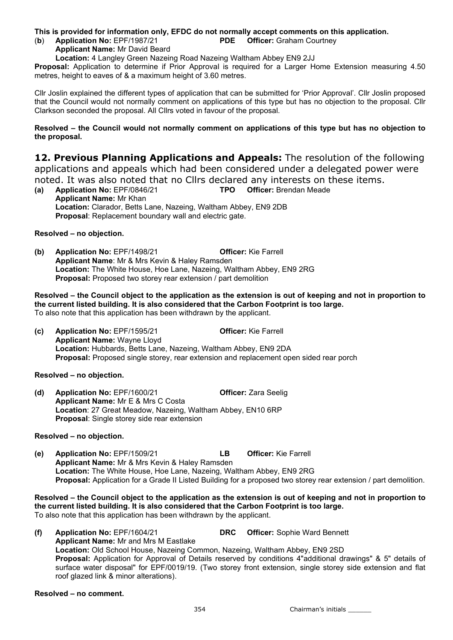#### This is provided for information only, EFDC do not normally accept comments on this application.

(b) Application No: EPF/1987/21 PDE Officer: Graham Courtney

Applicant Name: Mr David Beard

Location: 4 Langley Green Nazeing Road Nazeing Waltham Abbey EN9 2JJ

Proposal: Application to determine if Prior Approval is required for a Larger Home Extension measuring 4.50 metres, height to eaves of & a maximum height of 3.60 metres.

Cllr Joslin explained the different types of application that can be submitted for 'Prior Approval'. Cllr Joslin proposed that the Council would not normally comment on applications of this type but has no objection to the proposal. Cllr Clarkson seconded the proposal. All Cllrs voted in favour of the proposal.

Resolved – the Council would not normally comment on applications of this type but has no objection to the proposal.

12. Previous Planning Applications and Appeals: The resolution of the following applications and appeals which had been considered under a delegated power were noted. It was also noted that no Cllrs declared any interests on these items.

(a) Application No: EPF/0846/21 TPO Officer: Brendan Meade Applicant Name: Mr Khan Location: Clarador, Betts Lane, Nazeing, Waltham Abbey, EN9 2DB Proposal: Replacement boundary wall and electric gate.

Resolved – no objection.

(b) Application No: EPF/1498/21 Officer: Kie Farrell Applicant Name: Mr & Mrs Kevin & Haley Ramsden Location: The White House, Hoe Lane, Nazeing, Waltham Abbey, EN9 2RG Proposal: Proposed two storey rear extension / part demolition

Resolved – the Council object to the application as the extension is out of keeping and not in proportion to the current listed building. It is also considered that the Carbon Footprint is too large. To also note that this application has been withdrawn by the applicant.

(c) Application No: EPF/1595/21 Officer: Kie Farrell Applicant Name: Wayne Lloyd Location: Hubbards, Betts Lane, Nazeing, Waltham Abbey, EN9 2DA Proposal: Proposed single storey, rear extension and replacement open sided rear porch

Resolved – no objection.

(d) Application No: EPF/1600/21 Officer: Zara Seelig Applicant Name: Mr E & Mrs C Costa Location: 27 Great Meadow, Nazeing, Waltham Abbey, EN10 6RP Proposal: Single storey side rear extension

#### Resolved – no objection.

(e) Application No: EPF/1509/21 LB Officer: Kie Farrell Applicant Name: Mr & Mrs Kevin & Haley Ramsden Location: The White House, Hoe Lane, Nazeing, Waltham Abbey, EN9 2RG Proposal: Application for a Grade II Listed Building for a proposed two storey rear extension / part demolition.

Resolved – the Council object to the application as the extension is out of keeping and not in proportion to the current listed building. It is also considered that the Carbon Footprint is too large. To also note that this application has been withdrawn by the applicant.

(f) Application No: EPF/1604/21 DRC Officer: Sophie Ward Bennett Applicant Name: Mr and Mrs M Eastlake Location: Old School House, Nazeing Common, Nazeing, Waltham Abbey, EN9 2SD Proposal: Application for Approval of Details reserved by conditions 4"additional drawings" & 5" details of surface water disposal" for EPF/0019/19. (Two storey front extension, single storey side extension and flat roof glazed link & minor alterations).

Resolved – no comment.

354 Chairman's initials \_\_\_\_\_\_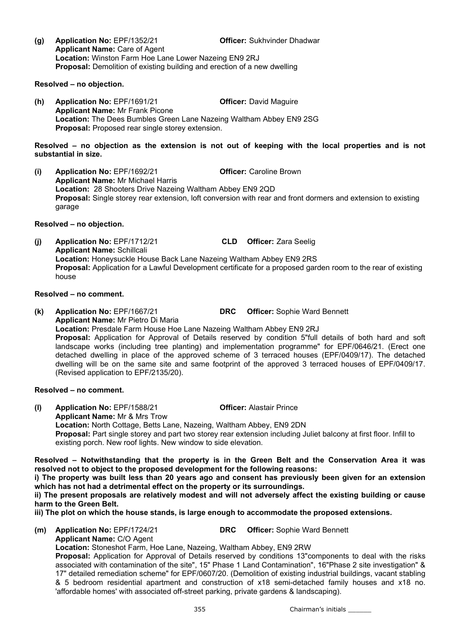Resolved – no objection.

(h) Application No: EPF/1691/21 Officer: David Maguire Applicant Name: Mr Frank Picone Location: The Dees Bumbles Green Lane Nazeing Waltham Abbey EN9 2SG Proposal: Proposed rear single storey extension.

Resolved – no objection as the extension is not out of keeping with the local properties and is not substantial in size.

(i) Application No: EPF/1692/21 Officer: Caroline Brown Applicant Name: Mr Michael Harris Location: 28 Shooters Drive Nazeing Waltham Abbey EN9 2QD Proposal: Single storey rear extension, loft conversion with rear and front dormers and extension to existing garage

#### Resolved – no objection.

(j) Application No: EPF/1712/21 CLD Officer: Zara Seelig Applicant Name: Schillcali Location: Honeysuckle House Back Lane Nazeing Waltham Abbey EN9 2RS Proposal: Application for a Lawful Development certificate for a proposed garden room to the rear of existing house

#### Resolved – no comment.

(k) Application No: EPF/1667/21 DRC Officer: Sophie Ward Bennett Applicant Name: Mr Pietro Di Maria Location: Presdale Farm House Hoe Lane Nazeing Waltham Abbey EN9 2RJ Proposal: Application for Approval of Details reserved by condition 5"full details of both hard and soft landscape works (including tree planting) and implementation programme" for EPF/0646/21. (Erect one detached dwelling in place of the approved scheme of 3 terraced houses (EPF/0409/17). The detached dwelling will be on the same site and same footprint of the approved 3 terraced houses of EPF/0409/17. (Revised application to EPF/2135/20).

#### Resolved – no comment.

(l) Application No: EPF/1588/21 Officer: Alastair Prince Applicant Name: Mr & Mrs Trow Location: North Cottage, Betts Lane, Nazeing, Waltham Abbey, EN9 2DN Proposal: Part single storey and part two storey rear extension including Juliet balcony at first floor. Infill to existing porch. New roof lights. New window to side elevation.

Resolved – Notwithstanding that the property is in the Green Belt and the Conservation Area it was resolved not to object to the proposed development for the following reasons:

i) The property was built less than 20 years ago and consent has previously been given for an extension which has not had a detrimental effect on the property or its surroundings.

ii) The present proposals are relatively modest and will not adversely affect the existing building or cause harm to the Green Belt.

iii) The plot on which the house stands, is large enough to accommodate the proposed extensions.

(m) Application No: EPF/1724/21 DRC Officer: Sophie Ward Bennett

Applicant Name: C/O Agent

Location: Stoneshot Farm, Hoe Lane, Nazeing, Waltham Abbey, EN9 2RW Proposal: Application for Approval of Details reserved by conditions 13"components to deal with the risks associated with contamination of the site", 15" Phase 1 Land Contamination", 16"Phase 2 site investigation" & 17" detailed remediation scheme" for EPF/0607/20. (Demolition of existing industrial buildings, vacant stabling & 5 bedroom residential apartment and construction of x18 semi-detached family houses and x18 no. 'affordable homes' with associated off-street parking, private gardens & landscaping).

355 Chairman's initials \_\_\_\_\_\_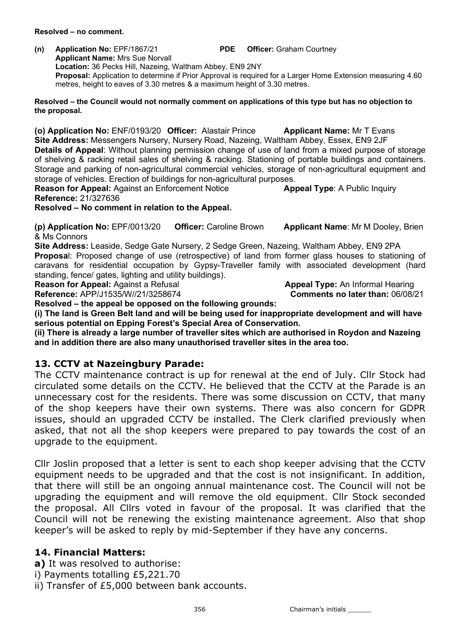Resolved – no comment.

(n) Application No: EPF/1867/21 PDE Officer: Graham Courtney Applicant Name: Mrs Sue Norvall Location: 36 Pecks Hill, Nazeing, Waltham Abbey, EN9 2NY

Proposal: Application to determine if Prior Approval is required for a Larger Home Extension measuring 4.60 metres, height to eaves of 3.30 metres & a maximum height of 3.30 metres.

Resolved – the Council would not normally comment on applications of this type but has no objection to the proposal.

(o) Application No: ENF/0193/20 Officer: Alastair Prince Applicant Name: Mr T Evans Site Address: Messengers Nursery, Nursery Road, Nazeing, Waltham Abbey, Essex, EN9 2JF Details of Appeal: Without planning permission change of use of land from a mixed purpose of storage of shelving & racking retail sales of shelving & racking. Stationing of portable buildings and containers. Storage and parking of non-agricultural commercial vehicles, storage of non-agricultural equipment and storage of vehicles. Erection of buildings for non-agricultural purposes. Reason for Appeal: Against an Enforcement Notice **Appeal Type:** A Public Inquiry

Reference: 21/327636

## Resolved – No comment in relation to the Appeal.

(p) Application No: EPF/0013/20 Officer: Caroline Brown Applicant Name: Mr M Dooley, Brien & Ms Connors

Site Address: Leaside, Sedge Gate Nursery, 2 Sedge Green, Nazeing, Waltham Abbey, EN9 2PA Proposal: Proposed change of use (retrospective) of land from former glass houses to stationing of caravans for residential occupation by Gypsy-Traveller family with associated development (hard standing, fence/ gates, lighting and utility buildings).

**Reason for Appeal:** Against a Refusal Appeal **Appeal Type:** An Informal Hearing

Reference: APP/J1535/W//21/3258674 Comments no later than: 06/08/21

Resolved – the appeal be opposed on the following grounds: (i) The land is Green Belt land and will be being used for inappropriate development and will have serious potential on Epping Forest's Special Area of Conservation.

(ii) There is already a large number of traveller sites which are authorised in Roydon and Nazeing and in addition there are also many unauthorised traveller sites in the area too.

# 13. CCTV at Nazeingbury Parade:

The CCTV maintenance contract is up for renewal at the end of July. Cllr Stock had circulated some details on the CCTV. He believed that the CCTV at the Parade is an unnecessary cost for the residents. There was some discussion on CCTV, that many of the shop keepers have their own systems. There was also concern for GDPR issues, should an upgraded CCTV be installed. The Clerk clarified previously when asked, that not all the shop keepers were prepared to pay towards the cost of an upgrade to the equipment.

Cllr Joslin proposed that a letter is sent to each shop keeper advising that the CCTV equipment needs to be upgraded and that the cost is not insignificant. In addition, that there will still be an ongoing annual maintenance cost. The Council will not be upgrading the equipment and will remove the old equipment. Cllr Stock seconded the proposal. All Cllrs voted in favour of the proposal. It was clarified that the Council will not be renewing the existing maintenance agreement. Also that shop keeper's will be asked to reply by mid-September if they have any concerns.

# 14. Financial Matters:

a) It was resolved to authorise:

- i) Payments totalling £5,221.70
- ii) Transfer of £5,000 between bank accounts.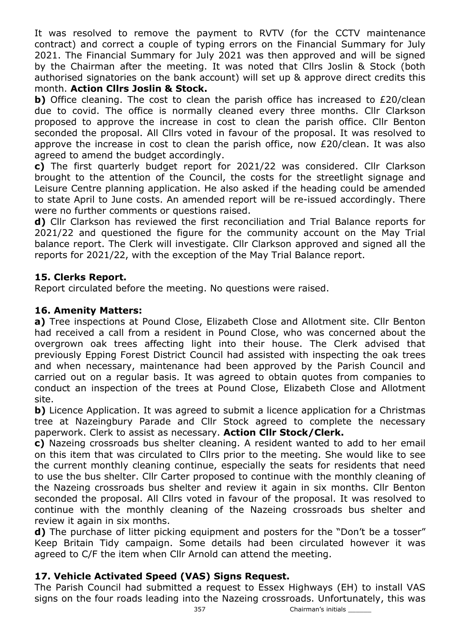It was resolved to remove the payment to RVTV (for the CCTV maintenance contract) and correct a couple of typing errors on the Financial Summary for July 2021. The Financial Summary for July 2021 was then approved and will be signed by the Chairman after the meeting. It was noted that Cllrs Joslin & Stock (both authorised signatories on the bank account) will set up & approve direct credits this month. Action Cllrs Joslin & Stock.

b) Office cleaning. The cost to clean the parish office has increased to £20/clean due to covid. The office is normally cleaned every three months. Cllr Clarkson proposed to approve the increase in cost to clean the parish office. Cllr Benton seconded the proposal. All Cllrs voted in favour of the proposal. It was resolved to approve the increase in cost to clean the parish office, now £20/clean. It was also agreed to amend the budget accordingly.

c) The first quarterly budget report for 2021/22 was considered. Cllr Clarkson brought to the attention of the Council, the costs for the streetlight signage and Leisure Centre planning application. He also asked if the heading could be amended to state April to June costs. An amended report will be re-issued accordingly. There were no further comments or questions raised.

d) Cllr Clarkson has reviewed the first reconciliation and Trial Balance reports for 2021/22 and questioned the figure for the community account on the May Trial balance report. The Clerk will investigate. Cllr Clarkson approved and signed all the reports for 2021/22, with the exception of the May Trial Balance report.

# 15. Clerks Report.

Report circulated before the meeting. No questions were raised.

## 16. Amenity Matters:

a) Tree inspections at Pound Close, Elizabeth Close and Allotment site. Cllr Benton had received a call from a resident in Pound Close, who was concerned about the overgrown oak trees affecting light into their house. The Clerk advised that previously Epping Forest District Council had assisted with inspecting the oak trees and when necessary, maintenance had been approved by the Parish Council and carried out on a regular basis. It was agreed to obtain quotes from companies to conduct an inspection of the trees at Pound Close, Elizabeth Close and Allotment site.

b) Licence Application. It was agreed to submit a licence application for a Christmas tree at Nazeingbury Parade and Cllr Stock agreed to complete the necessary paperwork. Clerk to assist as necessary. Action Cllr Stock/Clerk.

c) Nazeing crossroads bus shelter cleaning. A resident wanted to add to her email on this item that was circulated to Cllrs prior to the meeting. She would like to see the current monthly cleaning continue, especially the seats for residents that need to use the bus shelter. Cllr Carter proposed to continue with the monthly cleaning of the Nazeing crossroads bus shelter and review it again in six months. Cllr Benton seconded the proposal. All Cllrs voted in favour of the proposal. It was resolved to continue with the monthly cleaning of the Nazeing crossroads bus shelter and review it again in six months.

d) The purchase of litter picking equipment and posters for the "Don't be a tosser" Keep Britain Tidy campaign. Some details had been circulated however it was agreed to C/F the item when Cllr Arnold can attend the meeting.

## 17. Vehicle Activated Speed (VAS) Signs Request.

The Parish Council had submitted a request to Essex Highways (EH) to install VAS signs on the four roads leading into the Nazeing crossroads. Unfortunately, this was